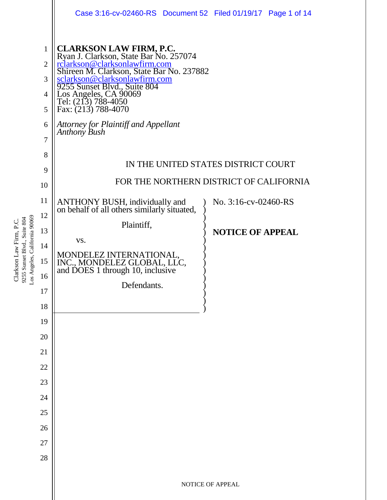|                                                                                         |                                                                      | Case 3:16-cv-02460-RS Document 52 Filed 01/19/17 Page 1 of 14                                                                                                                                                                                                                                           |
|-----------------------------------------------------------------------------------------|----------------------------------------------------------------------|---------------------------------------------------------------------------------------------------------------------------------------------------------------------------------------------------------------------------------------------------------------------------------------------------------|
| os Angeles, California 90069<br>9255 Sunset Blvd., Suite 804<br>Clarkson Law Firm, P.C. | $\mathbf{1}$<br>$\overline{2}$<br>3<br>$\overline{4}$<br>5<br>6<br>7 | CLARKSON LAW FIRM, P.C.<br>Ryan J. Clarkson, State Bar No. 257074<br><u>rclarkson@clarksonlawfirm.com</u><br>Shireen M. Clarkson, State Bar No. 237882<br>sclarkson@clarksonlawfirm.com<br>9255 Sunset Blvd., Suite 804<br>Los Angeles, CA 9006<br>Attorney for Plaintiff and Appellant<br>Anthony Bush |
|                                                                                         | 8                                                                    |                                                                                                                                                                                                                                                                                                         |
|                                                                                         | 9                                                                    | IN THE UNITED STATES DISTRICT COURT                                                                                                                                                                                                                                                                     |
|                                                                                         | 10                                                                   | FOR THE NORTHERN DISTRICT OF CALIFORNIA                                                                                                                                                                                                                                                                 |
|                                                                                         | 11                                                                   | ANTHONY BUSH, individually and<br>on behalf of all others similarly situated,<br>No. 3:16-cv-02460-RS                                                                                                                                                                                                   |
|                                                                                         | 12                                                                   |                                                                                                                                                                                                                                                                                                         |
|                                                                                         | 13                                                                   | Plaintiff,<br><b>NOTICE OF APPEAL</b>                                                                                                                                                                                                                                                                   |
|                                                                                         | 14                                                                   | VS.                                                                                                                                                                                                                                                                                                     |
|                                                                                         | 15                                                                   | MONDELEZ INTERNATIONAL,<br>INC., MONDELEZ GLOBAL, LLC,<br>and DOES 1 through 10, inclusive                                                                                                                                                                                                              |
|                                                                                         | 16                                                                   |                                                                                                                                                                                                                                                                                                         |
|                                                                                         | 17                                                                   | Defendants.                                                                                                                                                                                                                                                                                             |
|                                                                                         | 18                                                                   |                                                                                                                                                                                                                                                                                                         |
|                                                                                         | 19                                                                   |                                                                                                                                                                                                                                                                                                         |
|                                                                                         | 20                                                                   |                                                                                                                                                                                                                                                                                                         |
|                                                                                         | 21                                                                   |                                                                                                                                                                                                                                                                                                         |
|                                                                                         | 22                                                                   |                                                                                                                                                                                                                                                                                                         |
|                                                                                         | 23                                                                   |                                                                                                                                                                                                                                                                                                         |
|                                                                                         | 24                                                                   |                                                                                                                                                                                                                                                                                                         |
|                                                                                         | 25                                                                   |                                                                                                                                                                                                                                                                                                         |
|                                                                                         | 26                                                                   |                                                                                                                                                                                                                                                                                                         |
|                                                                                         | 27                                                                   |                                                                                                                                                                                                                                                                                                         |
|                                                                                         | 28                                                                   |                                                                                                                                                                                                                                                                                                         |
|                                                                                         |                                                                      | NOTICE OF APPEAL                                                                                                                                                                                                                                                                                        |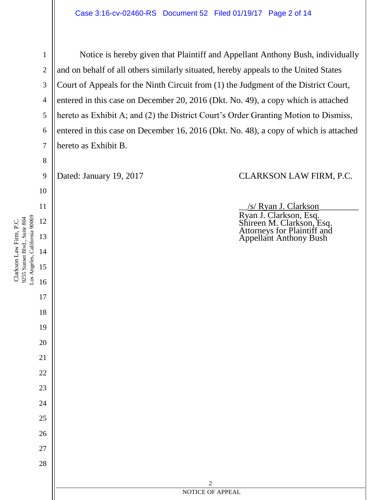Los Angeles, California 90069 Los Angeles, California 90069 9255 Sunset Blvd., Suite 804 9255 Sunset Blvd., Suite 804

Clarkson Law Firm, P.C.

Clarkson Law Firm, P.C.

1 2 3 4 5 6 7 8 9 10 11 12 13 14 15 16 17 18 19 20 21 22 23 24 25 26 27 28 2 NOTICE OF APPEAL Notice is hereby given that Plaintiff and Appellant Anthony Bush, individually and on behalf of all others similarly situated, hereby appeals to the United States Court of Appeals for the Ninth Circuit from (1) the Judgment of the District Court, entered in this case on December 20, 2016 (Dkt. No. 49), a copy which is attached hereto as Exhibit A; and (2) the District Court's Order Granting Motion to Dismiss, entered in this case on December 16, 2016 (Dkt. No. 48), a copy of which is attached hereto as Exhibit B. Dated: January 19, 2017 CLARKSON LAW FIRM, P.C. \_\_/s/ Ryan J. Clarkson\_\_\_\_\_\_\_\_\_ Ryan J. Clarkson, Esq. Shireen M. Clarkson, Esq. Attorneys for Plaintiff and Appellant Anthony Bush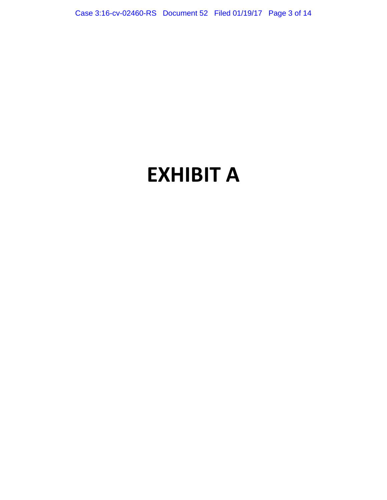Case 3:16-cv-02460-RS Document 52 Filed 01/19/17 Page 3 of 14

# **EXHIBIT A**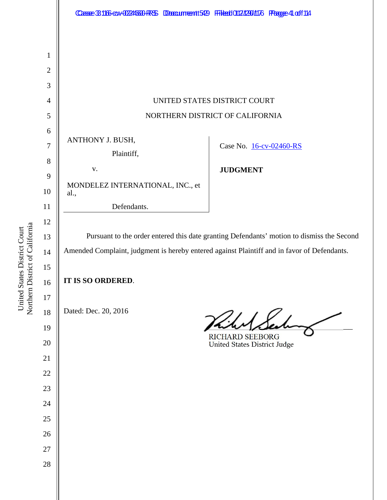

Northern District of California Northern District of California United States District Court United States District Court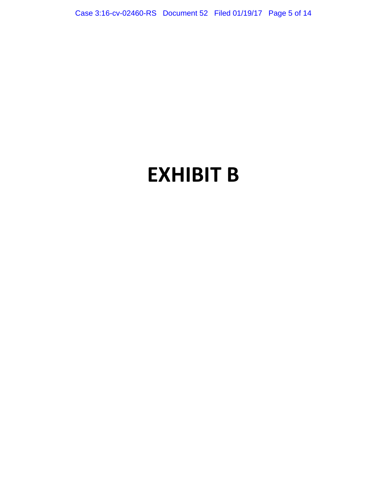Case 3:16-cv-02460-RS Document 52 Filed 01/19/17 Page 5 of 14

# **EXHIBIT B**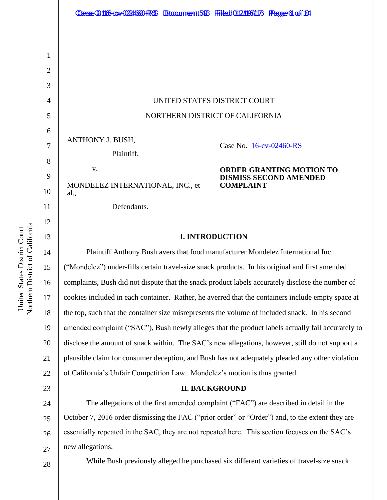# UNITED STATES DISTRICT COURT NORTHERN DISTRICT OF CALIFORNIA

ANTHONY J. BUSH,

Plaintiff,

v. MONDELEZ INTERNATIONAL, INC., et al., Defendants.

Case No. [16-cv-02460-RS](https://ecf.cand.uscourts.gov/cgi-bin/DktRpt.pl?298479) 

#### **ORDER GRANTING MOTION TO DISMISS SECOND AMENDED COMPLAINT**

## **I. INTRODUCTION**

Plaintiff Anthony Bush avers that food manufacturer Mondelez International Inc. ("Mondelez") under-fills certain travel-size snack products. In his original and first amended complaints, Bush did not dispute that the snack product labels accurately disclose the number of cookies included in each container. Rather, he averred that the containers include empty space at the top, such that the container size misrepresents the volume of included snack. In his second amended complaint ("SAC"), Bush newly alleges that the product labels actually fail accurately to disclose the amount of snack within. The SAC's new allegations, however, still do not support a plausible claim for consumer deception, and Bush has not adequately pleaded any other violation of California's Unfair Competition Law. Mondelez's motion is thus granted.

## **II. BACKGROUND**

24 25 26 27 The allegations of the first amended complaint ("FAC") are described in detail in the October 7, 2016 order dismissing the FAC ("prior order" or "Order") and, to the extent they are essentially repeated in the SAC, they are not repeated here. This section focuses on the SAC's new allegations.

28

While Bush previously alleged he purchased six different varieties of travel-size snack

1

2

3

4

5

6

7

8

9

10

11

12

13

14

15

16

17

18

19

20

21

22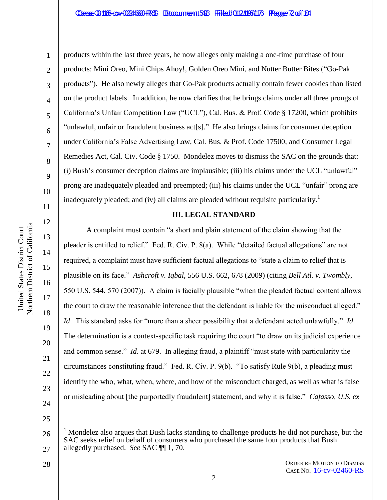1

2

3

4

5

6

7

8

9

10

11

12

13

14

15

16

17

18

19

20

21

22

23

products within the last three years, he now alleges only making a one-time purchase of four products: Mini Oreo, Mini Chips Ahoy!, Golden Oreo Mini, and Nutter Butter Bites ("Go-Pak products"). He also newly alleges that Go-Pak products actually contain fewer cookies than listed on the product labels. In addition, he now clarifies that he brings claims under all three prongs of California's Unfair Competition Law ("UCL"), Cal. Bus. & Prof. Code § 17200, which prohibits "unlawful, unfair or fraudulent business act[s]." He also brings claims for consumer deception under California's False Advertising Law, Cal. Bus. & Prof. Code 17500, and Consumer Legal Remedies Act, Cal. Civ. Code § 1750. Mondelez moves to dismiss the SAC on the grounds that: (i) Bush's consumer deception claims are implausible; (iii) his claims under the UCL "unlawful" prong are inadequately pleaded and preempted; (iii) his claims under the UCL "unfair" prong are inadequately pleaded; and (iv) all claims are pleaded without requisite particularity.<sup>1</sup>

#### **III. LEGAL STANDARD**

A complaint must contain "a short and plain statement of the claim showing that the pleader is entitled to relief." Fed. R. Civ. P. 8(a). While "detailed factual allegations" are not required, a complaint must have sufficient factual allegations to "state a claim to relief that is plausible on its face." *Ashcroft v. Iqbal*, 556 U.S. 662, 678 (2009) (citing *Bell Atl. v. Twombly*, 550 U.S. 544, 570 (2007)). A claim is facially plausible "when the pleaded factual content allows the court to draw the reasonable inference that the defendant is liable for the misconduct alleged." *Id*. This standard asks for "more than a sheer possibility that a defendant acted unlawfully." *Id*. The determination is a context-specific task requiring the court "to draw on its judicial experience and common sense." *Id*. at 679. In alleging fraud, a plaintiff "must state with particularity the circumstances constituting fraud." Fed. R. Civ. P. 9(b). "To satisfy Rule 9(b), a pleading must identify the who, what, when, where, and how of the misconduct charged, as well as what is false or misleading about [the purportedly fraudulent] statement, and why it is false." *Cafasso, U.S. ex* 

24 25

 $\overline{a}$ 

<sup>26</sup> 27 <sup>1</sup> Mondelez also argues that Bush lacks standing to challenge products he did not purchase, but the SAC seeks relief on behalf of consumers who purchased the same four products that Bush allegedly purchased. *See* SAC ¶¶ 1, 70.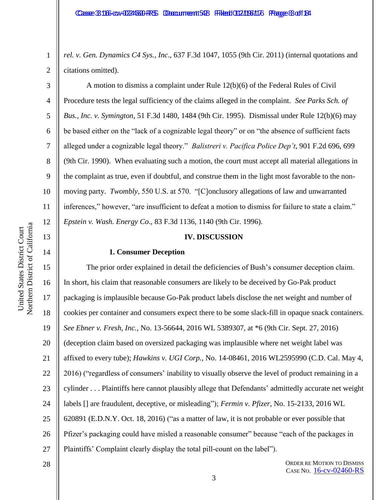*rel. v. Gen. Dynamics C4 Sys., Inc*., 637 F.3d 1047, 1055 (9th Cir. 2011) (internal quotations and citations omitted).

A motion to dismiss a complaint under Rule 12(b)(6) of the Federal Rules of Civil Procedure tests the legal sufficiency of the claims alleged in the complaint. *See Parks Sch. of Bus., Inc. v. Symington*, 51 F.3d 1480, 1484 (9th Cir. 1995). Dismissal under Rule 12(b)(6) may be based either on the "lack of a cognizable legal theory" or on "the absence of sufficient facts alleged under a cognizable legal theory." *Balistreri v. Pacifica Police Dep't*, 901 F.2d 696, 699 (9th Cir. 1990). When evaluating such a motion, the court must accept all material allegations in the complaint as true, even if doubtful, and construe them in the light most favorable to the nonmoving party. *Twombly*, 550 U.S. at 570. "[C]onclusory allegations of law and unwarranted inferences," however, "are insufficient to defeat a motion to dismiss for failure to state a claim." *Epstein v. Wash. Energy Co*., 83 F.3d 1136, 1140 (9th Cir. 1996).

#### **IV. DISCUSSION**

#### **1. Consumer Deception**

15 16 17 18 19 20 21 22 23 24 25 26 27 The prior order explained in detail the deficiencies of Bush's consumer deception claim. In short, his claim that reasonable consumers are likely to be deceived by Go-Pak product packaging is implausible because Go-Pak product labels disclose the net weight and number of cookies per container and consumers expect there to be some slack-fill in opaque snack containers. *See Ebner v. Fresh, Inc.*, No. 13-56644, 2016 WL 5389307, at \*6 (9th Cir. Sept. 27, 2016) (deception claim based on oversized packaging was implausible where net weight label was affixed to every tube); *Hawkins v. UGI Corp.*, No. 14-08461, 2016 WL2595990 (C.D. Cal. May 4, 2016) ("regardless of consumers' inability to visually observe the level of product remaining in a cylinder . . . Plaintiffs here cannot plausibly allege that Defendants' admittedly accurate net weight labels [] are fraudulent, deceptive, or misleading"); *Fermin v. Pfizer*, No. 15-2133, 2016 WL 620891 (E.D.N.Y. Oct. 18, 2016) ("as a matter of law, it is not probable or ever possible that Pfizer's packaging could have misled a reasonable consumer" because "each of the packages in Plaintiffs' Complaint clearly display the total pill-count on the label").

28

1

2

3

4

5

6

7

8

9

10

11

12

13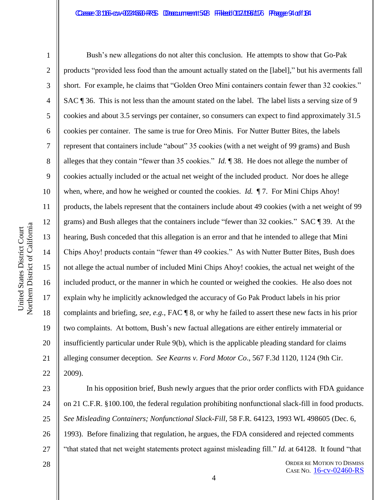#### Casse 3:116-cv-0224660-RS Doccument 548 Filed 017/1961176 Page 94 of 134

1

2

3

4

5

6

7

8

9

10

11

12

13

14

15

16

17

18

19

20

21

22

Bush's new allegations do not alter this conclusion. He attempts to show that Go-Pak products "provided less food than the amount actually stated on the [label]," but his averments fall short. For example, he claims that "Golden Oreo Mini containers contain fewer than 32 cookies." SAC ¶ 36. This is not less than the amount stated on the label. The label lists a serving size of 9 cookies and about 3.5 servings per container, so consumers can expect to find approximately 31.5 cookies per container. The same is true for Oreo Minis. For Nutter Butter Bites, the labels represent that containers include "about" 35 cookies (with a net weight of 99 grams) and Bush alleges that they contain "fewer than 35 cookies." *Id.* ¶ 38. He does not allege the number of cookies actually included or the actual net weight of the included product. Nor does he allege when, where, and how he weighed or counted the cookies. *Id.*  $\P$ 7. For Mini Chips Ahoy! products, the labels represent that the containers include about 49 cookies (with a net weight of 99 grams) and Bush alleges that the containers include "fewer than 32 cookies." SAC ¶ 39. At the hearing, Bush conceded that this allegation is an error and that he intended to allege that Mini Chips Ahoy! products contain "fewer than 49 cookies." As with Nutter Butter Bites, Bush does not allege the actual number of included Mini Chips Ahoy! cookies, the actual net weight of the included product, or the manner in which he counted or weighed the cookies. He also does not explain why he implicitly acknowledged the accuracy of Go Pak Product labels in his prior complaints and briefing, *see, e.g.,* FAC ¶ 8, or why he failed to assert these new facts in his prior two complaints. At bottom, Bush's new factual allegations are either entirely immaterial or insufficiently particular under Rule 9(b), which is the applicable pleading standard for claims alleging consumer deception. *See Kearns v. Ford Motor Co*., 567 F.3d 1120, 1124 (9th Cir. 2009).

23 24 25 26 27 In his opposition brief, Bush newly argues that the prior order conflicts with FDA guidance on 21 C.F.R. §100.100, the federal regulation prohibiting nonfunctional slack-fill in food products. *See Misleading Containers; Nonfunctional Slack-Fill*, 58 F.R. 64123, 1993 WL 498605 (Dec. 6, 1993). Before finalizing that regulation, he argues, the FDA considered and rejected comments "that stated that net weight statements protect against misleading fill." *Id.* at 64128. It found "that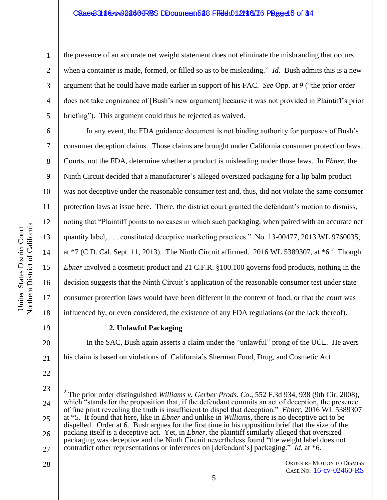#### Caae 316 Gev-02460 RSS Document 548 Filed 01 21 216 Tage 40 of 84

Northern District of California Northern District of California United States District Court United States District Court

the presence of an accurate net weight statement does not eliminate the misbranding that occurs when a container is made, formed, or filled so as to be misleading." *Id*. Bush admits this is a new argument that he could have made earlier in support of his FAC. *See* Opp. at 9 ("the prior order does not take cognizance of [Bush's new argument] because it was not provided in Plaintiff's prior briefing"). This argument could thus be rejected as waived.

In any event, the FDA guidance document is not binding authority for purposes of Bush's consumer deception claims. Those claims are brought under California consumer protection laws. Courts, not the FDA, determine whether a product is misleading under those laws. In *Ebner*, the Ninth Circuit decided that a manufacturer's alleged oversized packaging for a lip balm product was not deceptive under the reasonable consumer test and, thus, did not violate the same consumer protection laws at issue here. There, the district court granted the defendant's motion to dismiss, noting that "Plaintiff points to no cases in which such packaging, when paired with an accurate net quantity label, . . . constituted deceptive marketing practices." No. 13-00477, 2013 WL 9760035, at  $*7$  (C.D. Cal. Sept. 11, 2013). The Ninth Circuit affirmed. 2016 WL 5389307, at  $*6$ . Though *Ebner* involved a cosmetic product and 21 C.F.R. §100.100 governs food products, nothing in the decision suggests that the Ninth Circuit's application of the reasonable consumer test under state consumer protection laws would have been different in the context of food, or that the court was influenced by, or even considered, the existence of any FDA regulations (or the lack thereof).

19

20

21

22

28

1

2

3

4

5

6

7

8

9

10

11

12

13

14

15

16

17

18

#### **2. Unlawful Packaging**

In the SAC, Bush again asserts a claim under the "unlawful" prong of the UCL. He avers his claim is based on violations of California's Sherman Food, Drug, and Cosmetic Act

<sup>23</sup> 24 25 26 27  $\overline{a}$ 2 The prior order distinguished *Williams v. Gerber Prods. Co*., 552 F.3d 934, 938 (9th Cir. 2008), which "stands for the proposition that, if the defendant commits an act of deception, the presence of fine print revealing the truth is insufficient to dispel that deception." *Ebner*, 2016 WL 5389307 at \*5. It found that here, like in *Ebner* and unlike in *Williams*, there is no deceptive act to be dispelled. Order at 6. Bush argues for the first time in his opposition brief that the size of the packing itself is a deceptive act. Yet, in *Ebner*, the plaintiff similarly alleged that oversized packaging was deceptive and the Ninth Circuit nevertheless found "the weight label does not contradict other representations or inferences on [defendant's] packaging." *Id.* at \*6.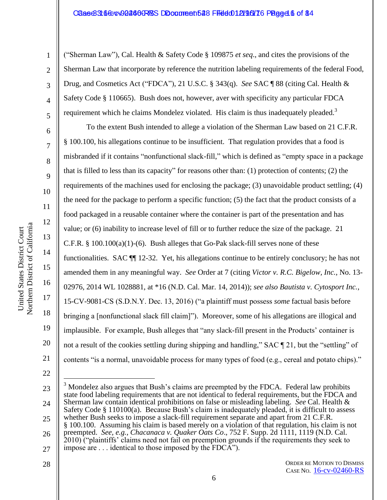#### Caase 3:16 Gev-02460 RSS Document 548 Filed 01 21 961 76 Page 4.6 of 84

1

2

3

4

5

6

7

8

9

10

11

12

13

14

15

16

17

18

19

20

21

("Sherman Law"), Cal. Health & Safety Code § 109875 *et seq*., and cites the provisions of the Sherman Law that incorporate by reference the nutrition labeling requirements of the federal Food, Drug, and Cosmetics Act ("FDCA"), 21 U.S.C. § 343(q). *See* SAC ¶ 88 (citing Cal. Health & Safety Code § 110665). Bush does not, however, aver with specificity any particular FDCA requirement which he claims Mondelez violated. His claim is thus inadequately pleaded.<sup>3</sup>

To the extent Bush intended to allege a violation of the Sherman Law based on 21 C.F.R. § 100.100, his allegations continue to be insufficient. That regulation provides that a food is misbranded if it contains "nonfunctional slack-fill," which is defined as "empty space in a package that is filled to less than its capacity" for reasons other than: (1) protection of contents; (2) the requirements of the machines used for enclosing the package; (3) unavoidable product settling; (4) the need for the package to perform a specific function; (5) the fact that the product consists of a food packaged in a reusable container where the container is part of the presentation and has value; or (6) inability to increase level of fill or to further reduce the size of the package. 21 C.F.R.  $\S$  100.100(a)(1)-(6). Bush alleges that Go-Pak slack-fill serves none of these functionalities. SAC ¶¶ 12-32. Yet, his allegations continue to be entirely conclusory; he has not amended them in any meaningful way. *See* Order at 7 (citing *Victor v. R.C. Bigelow, Inc.*, No. 13- 02976, 2014 WL 1028881, at \*16 (N.D. Cal. Mar. 14, 2014)); *see also Bautista v. Cytosport Inc.*, 15-CV-9081-CS (S.D.N.Y. Dec. 13, 2016) ("a plaintiff must possess *some* factual basis before bringing a [nonfunctional slack fill claim]"). Moreover, some of his allegations are illogical and implausible. For example, Bush alleges that "any slack-fill present in the Products' container is not a result of the cookies settling during shipping and handling," SAC ¶ 21, but the "settling" of contents "is a normal, unavoidable process for many types of food (e.g., cereal and potato chips)."

25

#### ORDER RE MOTION TO DISMISS CASE NO. [16-cv-02460-RS](https://ecf.cand.uscourts.gov/cgi-bin/DktRpt.pl?298479)

<sup>22</sup>

<sup>23</sup> 24  $\overline{a}$ 

<sup>3</sup> Mondelez also argues that Bush's claims are preempted by the FDCA. Federal law prohibits state food labeling requirements that are not identical to federal requirements, but the FDCA and Sherman law contain identical prohibitions on false or misleading labeling. *See* Cal. Health & Safety Code § 110100(a). Because Bush's claim is inadequately pleaded, it is difficult to assess whether Bush seeks to impose a slack-fill requirement separate and apart from 21 C.F.R.

<sup>26</sup> § 100.100. Assuming his claim is based merely on a violation of that regulation, his claim is not preempted. *See, e.g., Chacanaca v. Quaker Oats Co*., 752 F. Supp. 2d 1111, 1119 (N.D. Cal.

<sup>27</sup> 2010) ("plaintiffs' claims need not fail on preemption grounds if the requirements they seek to impose are . . . identical to those imposed by the FDCA").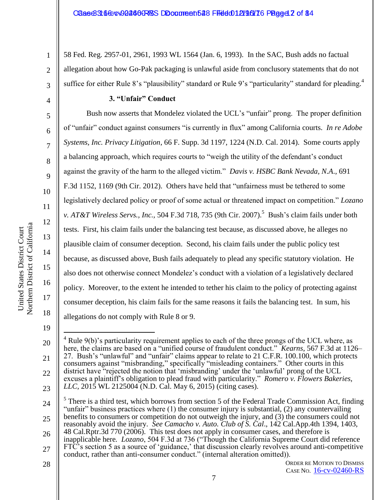58 Fed. Reg. 2957-01, 2961, 1993 WL 1564 (Jan. 6, 1993). In the SAC, Bush adds no factual allegation about how Go-Pak packaging is unlawful aside from conclusory statements that do not suffice for either Rule 8's "plausibility" standard or Rule 9's "particularity" standard for pleading.<sup>4</sup>

#### **3. "Unfair" Conduct**

Bush now asserts that Mondelez violated the UCL's "unfair" prong. The proper definition of "unfair" conduct against consumers "is currently in flux" among California courts. *In re Adobe Systems, Inc. Privacy Litigation*, 66 F. Supp. 3d 1197, 1224 (N.D. Cal. 2014). Some courts apply a balancing approach, which requires courts to "weigh the utility of the defendant's conduct against the gravity of the harm to the alleged victim." *Davis v. HSBC Bank Nevada, N.A*., 691 F.3d 1152, 1169 (9th Cir. 2012). Others have held that "unfairness must be tethered to some legislatively declared policy or proof of some actual or threatened impact on competition." *Lozano v. AT&T Wireless Servs., Inc.,* 504 F.3d 718, 735 (9th Cir. 2007).<sup>5</sup> Bush's claim fails under both tests. First, his claim fails under the balancing test because, as discussed above, he alleges no plausible claim of consumer deception. Second, his claim fails under the public policy test because, as discussed above, Bush fails adequately to plead any specific statutory violation. He also does not otherwise connect Mondelez's conduct with a violation of a legislatively declared policy. Moreover, to the extent he intended to tether his claim to the policy of protecting against consumer deception, his claim fails for the same reasons it fails the balancing test. In sum, his allegations do not comply with Rule 8 or 9.

19

1

2

3

4

5

6

7

8

9

10

11

12

7

28

United States District Court

United States District Court

<sup>20</sup> 21 22 23  $\overline{a}$  $4$  Rule 9(b)'s particularity requirement applies to each of the three prongs of the UCL where, as here, the claims are based on a "unified course of fraudulent conduct." *Kearns*, 567 F.3d at 1126– 27. Bush's "unlawful" and "unfair" claims appear to relate to 21 C.F.R. 100.100, which protects consumers against "misbranding," specifically "misleading containers." Other courts in this district have "rejected the notion that 'misbranding' under the 'unlawful' prong of the UCL excuses a plaintiff's obligation to plead fraud with particularity." *Romero v. Flowers Bakeries, LLC*, 2015 WL 2125004 (N.D. Cal. May 6, 2015) (citing cases).

<sup>24</sup> 25  $<sup>5</sup>$  There is a third test, which borrows from section 5 of the Federal Trade Commission Act, finding</sup> "unfair" business practices where  $(1)$  the consumer injury is substantial,  $(2)$  any countervailing benefits to consumers or competition do not outweigh the injury, and (3) the consumers could not reasonably avoid the injury. *See Camacho v. Auto. Club of S. Cal*., 142 Cal.App.4th 1394, 1403,

<sup>26</sup> 27 48 Cal.Rptr.3d 770 (2006). This test does not apply in consumer cases, and therefore is inapplicable here*. Lozano*, 504 F.3d at 736 ("Though the California Supreme Court did reference FTC's section 5 as a source of 'guidance,' that discussion clearly revolves around anti-competitive conduct, rather than anti-consumer conduct." (internal alteration omitted)).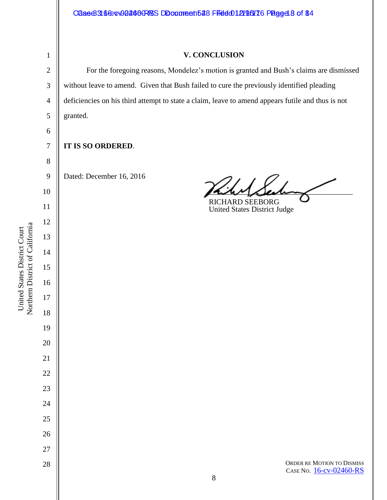#### Case 3166-cv02460-RS DDocument 548 Filed 012/96/16 Page 48 of 84

# 

#### **V. CONCLUSION**

For the foregoing reasons, Mondelez's motion is granted and Bush's claims are dismissed without leave to amend. Given that Bush failed to cure the previously identified pleading deficiencies on his third attempt to state a claim, leave to amend appears futile and thus is not granted.

### **IT IS SO ORDERED**.

Dated: December 16, 2016

 $\frac{1}{2}$ 

RICHARD SEEBORG United States District Judge

ORDER RE MOTION TO DISMISS CASE NO. [16-cv-02460-RS](https://ecf.cand.uscourts.gov/cgi-bin/DktRpt.pl?298479)